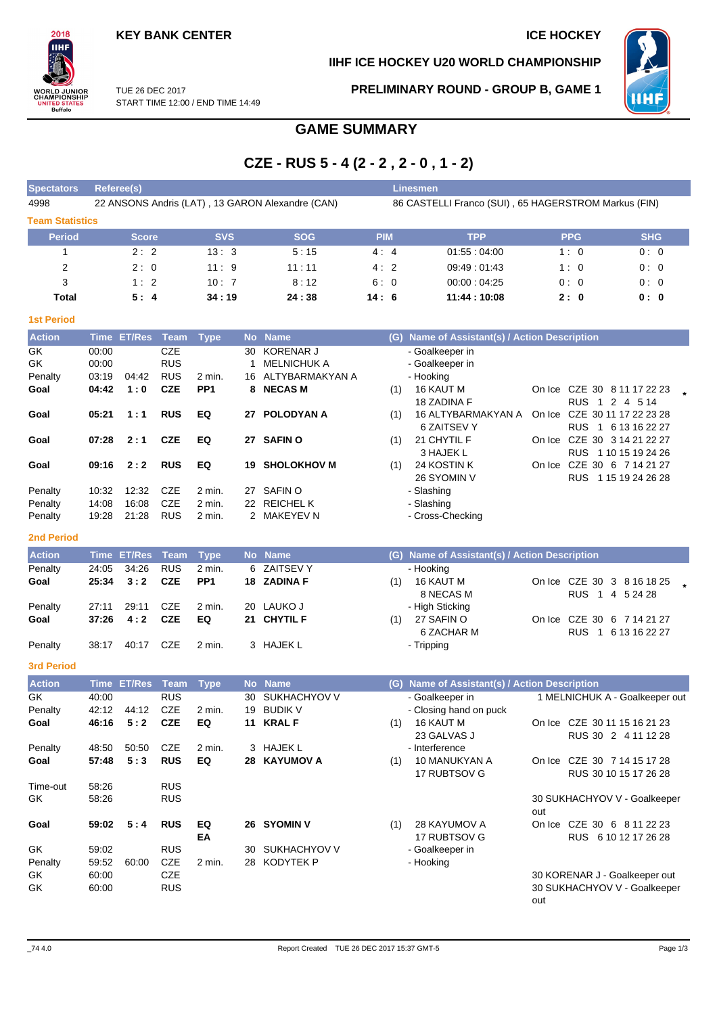### **IIHF ICE HOCKEY U20 WORLD CHAMPIONSHIP**



TUE 26 DEC 2017 START TIME 12:00 / END TIME 14:49 **PRELIMINARY ROUND - GROUP B, GAME 1**



### **GAME SUMMARY**

# **CZE - RUS 5 - 4 (2 - 2 , 2 - 0 , 1 - 2)**

| <b>Spectators</b>      | <b>Referee(s)</b> |                  |             |                 |              |                                                  |            |     | <b>Linesmen</b>                                      |     |            |                                                    |  |
|------------------------|-------------------|------------------|-------------|-----------------|--------------|--------------------------------------------------|------------|-----|------------------------------------------------------|-----|------------|----------------------------------------------------|--|
| 4998                   |                   |                  |             |                 |              | 22 ANSONS Andris (LAT), 13 GARON Alexandre (CAN) |            |     | 86 CASTELLI Franco (SUI), 65 HAGERSTROM Markus (FIN) |     |            |                                                    |  |
| <b>Team Statistics</b> |                   |                  |             |                 |              |                                                  |            |     |                                                      |     |            |                                                    |  |
| <b>Period</b>          |                   | <b>Score</b>     |             | <b>SVS</b>      |              | <b>SOG</b>                                       | <b>PIM</b> |     | <b>TPP</b>                                           |     | <b>PPG</b> | <b>SHG</b>                                         |  |
| 1                      |                   | 2:2              |             | 13:3            |              | 5:15                                             | 4:4        |     | 01:55:04:00                                          |     | 1:0        | 0:0                                                |  |
| 2                      |                   | 2:0              |             | 11:9            |              | 11 : 11                                          | 4:2        |     | 09:49:01:43                                          |     | 1:0        | 0:0                                                |  |
| 3                      |                   | 1:2              |             | 10:7            |              | 8:12                                             | 6:0        |     | 00:00:04:25                                          |     | 0:0        | 0:0                                                |  |
| Total                  |                   | 5:4              |             | 34:19           |              | 24:38                                            | 14:6       |     | 11:44:10:08                                          |     | 2:0        | 0: 0                                               |  |
|                        |                   |                  |             |                 |              |                                                  |            |     |                                                      |     |            |                                                    |  |
| <b>1st Period</b>      |                   |                  |             |                 |              |                                                  |            |     |                                                      |     |            |                                                    |  |
| <b>Action</b>          |                   | Time ET/Res Team |             | <b>Type</b>     |              | No Name                                          |            |     | (G) Name of Assistant(s) / Action Description        |     |            |                                                    |  |
| GK                     | 00:00             |                  | <b>CZE</b>  |                 | 30           | <b>KORENAR J</b>                                 |            |     | - Goalkeeper in                                      |     |            |                                                    |  |
| GK                     | 00:00             |                  | <b>RUS</b>  |                 | $\mathbf{1}$ | <b>MELNICHUK A</b>                               |            |     | - Goalkeeper in                                      |     |            |                                                    |  |
| Penalty                | 03:19             | 04:42            | <b>RUS</b>  | 2 min.          |              | 16 ALTYBARMAKYAN A                               |            |     | - Hooking                                            |     |            |                                                    |  |
| Goal                   | 04:42             | 1:0              | <b>CZE</b>  | PP <sub>1</sub> | 8            | <b>NECAS M</b>                                   |            | (1) | 16 KAUT M                                            |     |            | On Ice CZE 30 8 11 17 22 23                        |  |
|                        |                   |                  |             |                 |              |                                                  |            |     | 18 ZADINA F                                          |     |            | RUS 1 2 4 5 14                                     |  |
| Goal                   | 05:21             | 1:1              | <b>RUS</b>  | EQ              |              | 27 POLODYAN A                                    |            | (1) | 16 ALTYBARMAKYAN A                                   |     |            | On Ice CZE 30 11 17 22 23 28                       |  |
| Goal                   | 07:28             | 2:1              | <b>CZE</b>  | EQ              |              | 27 SAFIN O                                       |            | (1) | 6 ZAITSEV Y<br>21 CHYTIL F                           |     |            | RUS 1 6 13 16 22 27<br>On Ice CZE 30 3 14 21 22 27 |  |
|                        |                   |                  |             |                 |              |                                                  |            |     | 3 HAJEK L                                            |     |            | RUS 1 10 15 19 24 26                               |  |
| Goal                   | 09:16             | 2:2              | <b>RUS</b>  | EQ              | 19           | <b>SHOLOKHOV M</b>                               |            | (1) | 24 KOSTIN K                                          |     |            | On Ice CZE 30 6 7 14 21 27                         |  |
|                        |                   |                  |             |                 |              |                                                  |            |     | 26 SYOMIN V                                          |     |            | RUS 1 15 19 24 26 28                               |  |
| Penalty                | 10:32             | 12:32            | <b>CZE</b>  | 2 min.          |              | 27 SAFINO                                        |            |     | - Slashing                                           |     |            |                                                    |  |
| Penalty                | 14:08             | 16:08            | <b>CZE</b>  | 2 min.          |              | 22 REICHEL K                                     |            |     | - Slashing                                           |     |            |                                                    |  |
| Penalty                | 19:28             | 21:28            | <b>RUS</b>  | 2 min.          |              | 2 MAKEYEV N                                      |            |     | - Cross-Checking                                     |     |            |                                                    |  |
| <b>2nd Period</b>      |                   |                  |             |                 |              |                                                  |            |     |                                                      |     |            |                                                    |  |
| <b>Action</b>          |                   | Time ET/Res      | Team        | <b>Type</b>     |              | No Name                                          |            |     | (G) Name of Assistant(s) / Action Description        |     |            |                                                    |  |
| Penalty                | 24:05             | 34:26            | <b>RUS</b>  | 2 min.          |              | 6 ZAITSEV Y                                      |            |     | - Hooking                                            |     |            |                                                    |  |
| Goal                   | 25:34             | 3:2              | <b>CZE</b>  | PP <sub>1</sub> |              | 18 ZADINA F                                      |            |     | $(1)$ 16 KAUT M                                      |     |            | On Ice CZE 30 3 8 16 18 25                         |  |
|                        |                   |                  |             |                 |              |                                                  |            |     | 8 NECAS M                                            |     |            | RUS 1 4 5 24 28                                    |  |
| Penalty                | 27:11             | 29:11            | <b>CZE</b>  | 2 min.          |              | 20 LAUKO J                                       |            |     | - High Sticking                                      |     |            |                                                    |  |
| Goal                   | 37:26             | 4:2              | <b>CZE</b>  | EQ              |              | 21 CHYTIL F                                      |            | (1) | 27 SAFIN O                                           |     |            | On Ice CZE 30 6 7 14 21 27                         |  |
|                        |                   |                  |             |                 |              |                                                  |            |     | 6 ZACHAR M                                           |     |            | RUS 1 6 13 16 22 27                                |  |
| Penalty                | 38:17             | 40:17            | CZE         | 2 min.          |              | 3 HAJEK L                                        |            |     | - Tripping                                           |     |            |                                                    |  |
| <b>3rd Period</b>      |                   |                  |             |                 |              |                                                  |            |     |                                                      |     |            |                                                    |  |
| <b>Action</b>          |                   | Time ET/Res      | <b>Team</b> | <b>Type</b>     |              | No Name                                          |            |     | (G) Name of Assistant(s) / Action Description        |     |            |                                                    |  |
| GK                     | 40:00             |                  | <b>RUS</b>  |                 |              | 30 SUKHACHYOV V                                  |            |     | - Goalkeeper in                                      |     |            | 1 MELNICHUK A - Goalkeeper out                     |  |
| Penalty                |                   | 42:12 44:12      | CZE         | 2 min.          |              | 19 BUDIK V                                       |            |     | Closing hand on puck                                 |     |            |                                                    |  |
| Goal                   | 46:16             | 5:2              | <b>CZE</b>  | EQ              |              | 11 KRAL F                                        |            | (1) | 16 KAUT M                                            |     |            | On Ice CZE 30 11 15 16 21 23                       |  |
|                        |                   |                  |             |                 |              |                                                  |            |     | 23 GALVAS J                                          |     |            | RUS 30 2 4 11 12 28                                |  |
| Penalty                | 48:50             | 50:50            | CZE         | 2 min.          |              | 3 HAJEK L                                        |            |     | - Interference                                       |     |            |                                                    |  |
| Goal                   | 57:48             | 5:3              | <b>RUS</b>  | EQ              |              | 28 KAYUMOV A                                     |            | (1) | 10 MANUKYAN A                                        |     |            | On Ice CZE 30 7 14 15 17 28                        |  |
| Time-out               |                   |                  | <b>RUS</b>  |                 |              |                                                  |            |     | 17 RUBTSOV G                                         |     |            | RUS 30 10 15 17 26 28                              |  |
| GK                     | 58:26<br>58:26    |                  | <b>RUS</b>  |                 |              |                                                  |            |     |                                                      |     |            | 30 SUKHACHYOV V - Goalkeeper                       |  |
|                        |                   |                  |             |                 |              |                                                  |            |     |                                                      | out |            |                                                    |  |
| Goal                   | 59:02             | 5:4              | <b>RUS</b>  | EQ              |              | 26 SYOMIN V                                      |            | (1) | 28 KAYUMOV A                                         |     |            | On Ice CZE 30 6 8 11 22 23                         |  |
|                        |                   |                  |             | EA              |              |                                                  |            |     | 17 RUBTSOV G                                         |     |            | RUS 6 10 12 17 26 28                               |  |
| GK                     | 59:02             |                  | <b>RUS</b>  |                 |              | 30 SUKHACHYOV V                                  |            |     | - Goalkeeper in                                      |     |            |                                                    |  |
| Penalty                | 59:52             | 60:00            | CZE         | 2 min.          |              | 28 KODYTEK P                                     |            |     | - Hooking                                            |     |            |                                                    |  |
| GK                     | 60:00             |                  | <b>CZE</b>  |                 |              |                                                  |            |     |                                                      |     |            | 30 KORENAR J - Goalkeeper out                      |  |
| GK                     | 60:00             |                  | <b>RUS</b>  |                 |              |                                                  |            |     |                                                      | out |            | 30 SUKHACHYOV V - Goalkeeper                       |  |
|                        |                   |                  |             |                 |              |                                                  |            |     |                                                      |     |            |                                                    |  |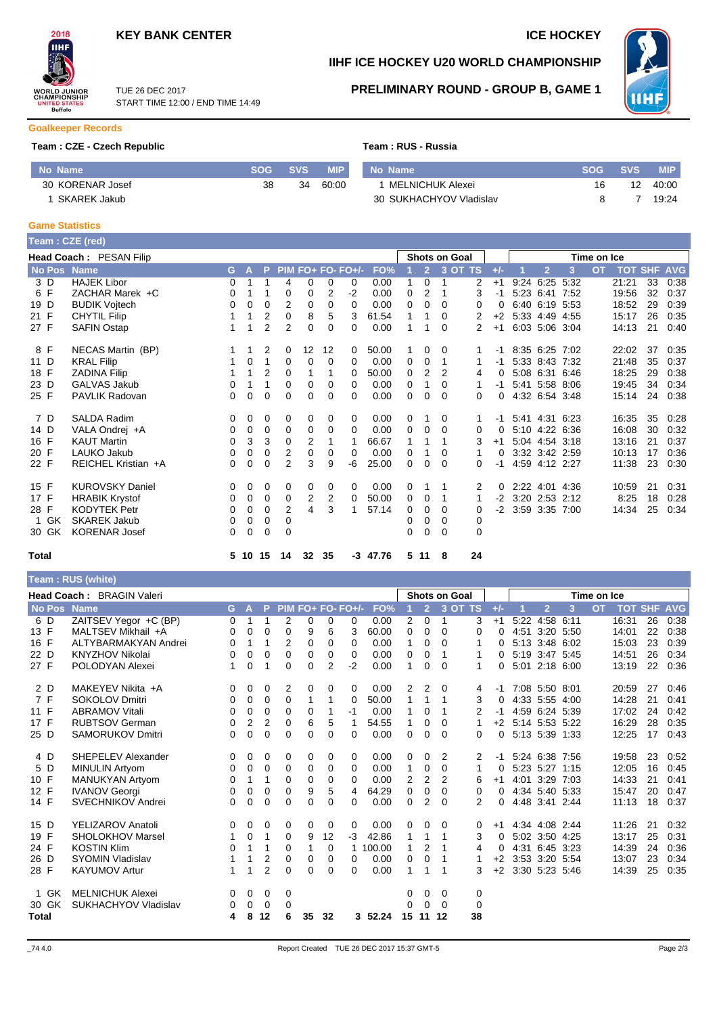



# **IIHF ICE HOCKEY U20 WORLD CHAMPIONSHIP**

TUE 26 DEC 2017 START TIME 12:00 / END TIME 14:49

### **PRELIMINARY ROUND - GROUP B, GAME 1**



#### **Goalkeeper Records**

### **Team : CZE - Czech Republic Team : Team : RUSSIA**

|  |  | Team : RUS - Russia |
|--|--|---------------------|
|  |  |                     |

| No Name             | SOG | <b>SVS</b> | <b>MIP</b> | No Name                 | SOG | <b>SVS</b> | MIP   |
|---------------------|-----|------------|------------|-------------------------|-----|------------|-------|
| 30 KORENAR Josef    | 38  | 34         | 60:00      | MELNICHUK Alexei        |     |            | 40:00 |
| <b>SKAREK Jakub</b> |     |            |            | 30 SUKHACHYOV Vladislav |     |            | 19:24 |

#### **Game Statistics**

|             | Team: CZE (red)                |    |       |                |    |    |                |                   |            |   |                |                      |          |          |                |   |                |                    |    |      |
|-------------|--------------------------------|----|-------|----------------|----|----|----------------|-------------------|------------|---|----------------|----------------------|----------|----------|----------------|---|----------------|--------------------|----|------|
|             | <b>Head Coach: PESAN Filip</b> |    |       |                |    |    |                |                   |            |   |                | <b>Shots on Goal</b> |          |          |                |   | Time on Ice    |                    |    |      |
| No Pos Name |                                |    | G A   | -P             |    |    |                | PIM FO+ FO- FO+/- | FO%        |   | $\overline{2}$ |                      | 3 OT TS  | $+/-$    | $\overline{2}$ | 3 | $\overline{O}$ | <b>TOT SHF AVG</b> |    |      |
| 3 D         | <b>HAJEK Libor</b>             | 0  |       |                | 4  | 0  | 0              | 0                 | 0.00       | 1 | $\Omega$       | 1                    | 2        | $+1$     | 9:24 6:25 5:32 |   |                | 21:21              | 33 | 0:38 |
| 6 F         | ZACHAR Marek +C                | 0  |       |                | 0  | 0  | 2              | -2                | 0.00       | 0 | 2              | 1                    | 3        | -1       | 5:23 6:41 7:52 |   |                | 19:56              | 32 | 0:37 |
| 19 D        | <b>BUDIK Vojtech</b>           | 0  | 0     | 0              | 2  | 0  | 0              | 0                 | 0.00       | 0 | 0              | 0                    | 0        | 0        | 6:40 6:19 5:53 |   |                | 18:52              | 29 | 0:39 |
| 21 F        | <b>CHYTIL Filip</b>            |    | 1     | $\overline{2}$ | 0  | 8  | 5              | 3                 | 61.54      | 1 | 1              | 0                    | 2        | $+2$     | 5:33 4:49 4:55 |   |                | 15:17              | 26 | 0:35 |
| 27 F        | <b>SAFIN Ostap</b>             |    | 1     | 2              | 2  | 0  | 0              | 0                 | 0.00       | 1 | 1              | 0                    | 2        | $+1$     | 6:03 5:06 3:04 |   |                | 14:13              | 21 | 0:40 |
| 8 F         | NECAS Martin (BP)              |    |       | 2              | 0  | 12 | 12             | $\mathbf{0}$      | 50.00      |   | 0              | 0                    |          | -1       | 8:35 6:25 7:02 |   |                | 22:02              | 37 | 0:35 |
| 11 D        | <b>KRAL Filip</b>              |    | 0     |                | 0  | 0  | 0              | $\Omega$          | 0.00       | 0 | 0              | 1                    |          | -1       | 5:33 8:43 7:32 |   |                | 21:48              | 35 | 0:37 |
| 18 F        | <b>ZADINA Filip</b>            |    | 1     | $\overline{2}$ | 0  |    | 1              | 0                 | 50.00      | 0 | 2              | 2                    | 4        | $\Omega$ | 5:08 6:31 6:46 |   |                | 18:25              | 29 | 0:38 |
| 23 D        | <b>GALVAS Jakub</b>            | 0  |       |                | 0  | 0  | 0              | 0                 | 0.00       | 0 | 1              | 0                    | 1        | -1       | 5:41 5:58 8:06 |   |                | 19:45              | 34 | 0:34 |
| 25 F        | <b>PAVLIK Radovan</b>          | 0  | 0     | 0              | 0  | 0  | 0              | 0                 | 0.00       | 0 | 0              | $\Omega$             | $\Omega$ | 0        | 4:32 6:54 3:48 |   |                | 15:14              | 24 | 0:38 |
| 7 D         | <b>SALDA Radim</b>             | 0  | 0     | 0              | 0  | 0  | 0              | 0                 | 0.00       | 0 |                | 0                    |          | -1       | 5:41 4:31 6:23 |   |                | 16:35              | 35 | 0:28 |
| 14 D        | VALA Ondrej +A                 | 0  | 0     | 0              | 0  | 0  | 0              | $\Omega$          | 0.00       | 0 | 0              | 0                    | 0        | $\Omega$ | 5:10 4:22 6:36 |   |                | 16:08              | 30 | 0:32 |
| 16 F        | <b>KAUT Martin</b>             | 0  | 3     | 3              | 0  | 2  | 1              |                   | 66.67      | 1 | 1              | 1                    | 3        | $+1$     | 5:04 4:54 3:18 |   |                | 13:16              | 21 | 0:37 |
| 20 F        | LAUKO Jakub                    | 0  | 0     | 0              | 2  | 0  | 0              | $\Omega$          | 0.00       | 0 |                | 0                    |          | 0        | 3:32 3:42 2:59 |   |                | 10:13              | 17 | 0:36 |
| 22 F        | REICHEL Kristian +A            | 0  | 0     | 0              | 2  | 3  | 9              | -6                | 25.00      | 0 | 0              | $\Omega$             | 0        | -1       | 4:59 4:12 2:27 |   |                | 11:38              | 23 | 0:30 |
| 15 F        | <b>KUROVSKY Daniel</b>         | 0  | 0     | 0              | 0  | 0  | 0              | 0                 | 0.00       | 0 |                |                      | 2        | 0        | 2:22 4:01 4:36 |   |                | 10:59              | 21 | 0:31 |
| 17 F        | <b>HRABIK Krystof</b>          | 0  | 0     | 0              | 0  | 2  | $\overline{2}$ | 0                 | 50.00      | 0 | 0              | 1                    |          | $-2$     | 3:20 2:53 2:12 |   |                | 8:25               | 18 | 0:28 |
| 28 F        | <b>KODYTEK Petr</b>            | 0  | 0     | 0              | 2  | 4  | 3              |                   | 57.14      | 0 | 0              | 0                    | 0        | -2       | 3:59 3:35 7:00 |   |                | 14:34              | 25 | 0:34 |
| GK<br>1     | <b>SKAREK Jakub</b>            | 0  | 0     | 0              | 0  |    |                |                   |            | 0 | 0              | 0                    | 0        |          |                |   |                |                    |    |      |
| 30 GK       | <b>KORENAR Josef</b>           | 0  | 0     | 0              | 0  |    |                |                   |            | 0 | $\Omega$       | 0                    | $\Omega$ |          |                |   |                |                    |    |      |
| Total       |                                | 5. | 10 15 |                | 14 | 32 | 35             |                   | $-3$ 47.76 |   | 5 11           | -8                   | 24       |          |                |   |                |                    |    |      |

### **Team : RUS (white)**

|               | <b>Head Coach: BRAGIN Valeri</b> |          |             |                |             |          |                |                     |        |              |                | <b>Shots on Goal</b> |               |          |                |                |      | Time on Ice |       |    |                    |
|---------------|----------------------------------|----------|-------------|----------------|-------------|----------|----------------|---------------------|--------|--------------|----------------|----------------------|---------------|----------|----------------|----------------|------|-------------|-------|----|--------------------|
| <b>No Pos</b> | <b>Name</b>                      |          | $G$ $A$     |                |             |          |                | P PIM FO+ FO- FO+/- | FO%    |              | 2 <sup>7</sup> |                      | 3 OT TS       | $+/-$    |                | $\overline{2}$ | 3    | <b>OT</b>   |       |    | <b>TOT SHF AVG</b> |
| 6 D           | ZAITSEV Yegor +C (BP)            | 0        | 1           |                | 2           | 0        | 0              | $\Omega$            | 0.00   | 2            | $\Omega$       | 1                    | 3             | $+1$     | 5:22           | 4:58 6:11      |      |             | 16:31 | 26 | 0:38               |
| 13 F          | MALTSEV Mikhail +A               | 0        | 0           | 0              | 0           | 9        | 6              | 3                   | 60.00  | 0            | $\Omega$       | 0                    | $\Omega$      | $\Omega$ |                | 4:51 3:20      | 5:50 |             | 14:01 | 22 | 0:38               |
| 16 F          | ALTYBARMAKYAN Andrei             | 0        | 1           | 1              | 2           | 0        | 0              | $\Omega$            | 0.00   | 1            | 0              | 0                    |               | 0        |                | 5:13 3:48 6:02 |      |             | 15:03 | 23 | 0:39               |
| 22 D          | <b>KNYZHOV Nikolai</b>           | 0        | 0           | 0              | $\Omega$    | 0        | 0              | 0                   | 0.00   | 0            | 0              | 1                    |               | 0        |                | 5:19 3:47 5:45 |      |             | 14:51 | 26 | 0:34               |
| 27 F          | POLODYAN Alexei                  | 1.       | 0           |                | 0           | 0        | $\overline{2}$ | $-2$                | 0.00   | 1            | 0              | 0                    | 1             | 0        |                | 5:01 2:18 6:00 |      |             | 13:19 | 22 | 0:36               |
| 2 D           | MAKEYEV Nikita +A                | 0        | 0           | 0              | 2           | 0        | 0              | 0                   | 0.00   | 2            | 2              | $\Omega$             | 4             | -1       |                | 7:08 5:50 8:01 |      |             | 20:59 | 27 | 0:46               |
| 7 F           | <b>SOKOLOV Dmitri</b>            | 0        | 0           | 0              | 0           | 1        | 1              | $\Omega$            | 50.00  | 1            | 1              | 1                    | 3             | 0        |                | 4:33 5:55 4:00 |      |             | 14:28 | 21 | 0:41               |
| 11 F          | <b>ABRAMOV Vitali</b>            | 0        | $\Omega$    | $\Omega$       | $\Omega$    | 0        | 1              | $-1$                | 0.00   | 1            | 0              | 1                    | 2             | -1       |                | 4:59 6:24 5:39 |      |             | 17:02 | 24 | 0:42               |
| 17 F          | <b>RUBTSOV German</b>            | 0        | 2           | 2              | $\Omega$    | 6        | 5              | 1                   | 54.55  | 1            | $\Omega$       | $\Omega$             | 1             | $+2$     | 5:14 5:53 5:22 |                |      |             | 16:29 | 28 | 0:35               |
| 25 D          | <b>SAMORUKOV Dmitri</b>          | 0        | 0           | $\Omega$       | $\Omega$    | $\Omega$ | 0              | $\Omega$            | 0.00   | 0            | $\Omega$       | $\Omega$             | 0             | $\Omega$ |                | 5:13 5:39 1:33 |      |             | 12:25 | 17 | 0:43               |
| 4 D           | <b>SHEPELEV Alexander</b>        | 0        | 0           | 0              | 0           | 0        | 0              | 0                   | 0.00   | 0            | 0              | 2                    | 2             | -1       |                | 5:24 6:38 7:56 |      |             | 19:58 | 23 | 0:52               |
| 5 D           | <b>MINULIN Artyom</b>            | $\Omega$ | 0           | 0              | 0           | 0        | 0              | $\Omega$            | 0.00   | $\mathbf{1}$ | 0              | $\Omega$             | 1             | 0        |                | 5:23 5:27 1:15 |      |             | 12:05 | 16 | 0:45               |
| 10 F          | <b>MANUKYAN Artyom</b>           | 0        | 1           |                | $\Omega$    | 0        | 0              | $\Omega$            | 0.00   | 2            | 2              | 2                    | 6             | $+1$     |                | 4:01 3:29 7:03 |      |             | 14:33 | 21 | 0:41               |
| 12 F          | <b>IVANOV Georgi</b>             | 0        | 0           | $\Omega$       | $\Omega$    | 9        | 5              | 4                   | 64.29  | 0            | $\Omega$       | 0                    | $\Omega$      | $\Omega$ |                | 4:34 5:40 5:33 |      |             | 15:47 | 20 | 0:47               |
| 14 F          | <b>SVECHNIKOV Andrei</b>         | 0        | 0           | $\Omega$       | 0           | $\Omega$ | 0              | $\Omega$            | 0.00   | 0            | $\overline{2}$ | $\Omega$             | $\mathcal{P}$ | 0        |                | 4:48 3:41 2:44 |      |             | 11:13 | 18 | 0:37               |
| 15 D          | <b>YELIZAROV Anatoli</b>         | 0        | 0           | 0              | 0           | 0        | 0              | $\mathbf 0$         | 0.00   | 0            | 0              | $\Omega$             | 0             | $+1$     |                | 4:34 4:08 2:44 |      |             | 11:26 | 21 | 0:32               |
| 19 F          | <b>SHOLOKHOV Marsel</b>          |          | 0           |                | 0           | 9        | 12             | $-3$                | 42.86  | 1            | 1              | 1                    | 3             | $\Omega$ |                | 5:02 3:50 4:25 |      |             | 13:17 | 25 | 0:31               |
| 24 F          | <b>KOSTIN Klim</b>               | 0        | 1           |                | 0           |          | 0              | 1                   | 100.00 | 1            | 2              |                      | 4             | 0        |                | 4:31 6:45 3:23 |      |             | 14:39 | 24 | 0:36               |
| 26 D          | SYOMIN Vladislav                 |          | 1           | 2              | $\Omega$    | 0        | 0              | $\Omega$            | 0.00   | 0            | 0              | 1                    |               | $+2$     |                | 3:53 3:20 5:54 |      |             | 13:07 | 23 | 0:34               |
| 28 F          | <b>KAYUMOV Artur</b>             |          | 1           | $\overline{2}$ | $\Omega$    | 0        | 0              | $\Omega$            | 0.00   | 1            | 1              | 1                    |               | $+2$     |                | 3:30 5:23 5:46 |      |             | 14:39 | 25 | 0:35               |
| 1 GK          | <b>MELNICHUK Alexei</b>          | 0        | 0           | 0              | $\mathbf 0$ |          |                |                     |        | 0            | 0              | 0                    | 0             |          |                |                |      |             |       |    |                    |
| 30 GK         | SUKHACHYOV Vladislav             | 0        | $\mathbf 0$ | $\overline{0}$ | 0           |          |                |                     |        | 0            | $\Omega$       | $\Omega$             | 0             |          |                |                |      |             |       |    |                    |
| Total         |                                  | 4        | 8           | 12             | 6           | 35       | 32             | 3                   | 52.24  | 15           | 11             | 12                   | 38            |          |                |                |      |             |       |    |                    |